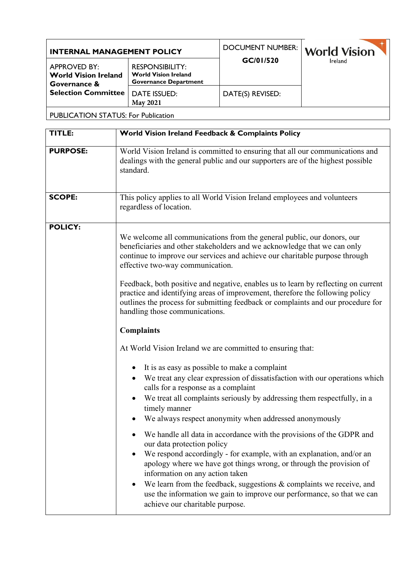| <b>INTERNAL MANAGEMENT POLICY</b>                                                                |                                                                                       | <b>DOCUMENT NUMBER:</b> | <b>World Vision</b> |
|--------------------------------------------------------------------------------------------------|---------------------------------------------------------------------------------------|-------------------------|---------------------|
| <b>APPROVED BY:</b><br><b>World Vision Ireland</b><br>Governance &<br><b>Selection Committee</b> | <b>RESPONSIBILITY:</b><br><b>World Vision Ireland</b><br><b>Governance Department</b> | GC/01/520               | Ireland             |
|                                                                                                  | <b>DATE ISSUED:</b><br><b>May 2021</b>                                                | DATE(S) REVISED:        |                     |
| <b>PUBLICATION STATUS: For Publication</b>                                                       |                                                                                       |                         |                     |

| TITLE:          | World Vision Ireland Feedback & Complaints Policy                                                                                                                                                                                                                                                                                                                                                                                                                                                                                |
|-----------------|----------------------------------------------------------------------------------------------------------------------------------------------------------------------------------------------------------------------------------------------------------------------------------------------------------------------------------------------------------------------------------------------------------------------------------------------------------------------------------------------------------------------------------|
| <b>PURPOSE:</b> | World Vision Ireland is committed to ensuring that all our communications and<br>dealings with the general public and our supporters are of the highest possible<br>standard.                                                                                                                                                                                                                                                                                                                                                    |
| <b>SCOPE:</b>   | This policy applies to all World Vision Ireland employees and volunteers<br>regardless of location.                                                                                                                                                                                                                                                                                                                                                                                                                              |
| <b>POLICY:</b>  | We welcome all communications from the general public, our donors, our<br>beneficiaries and other stakeholders and we acknowledge that we can only<br>continue to improve our services and achieve our charitable purpose through<br>effective two-way communication.<br>Feedback, both positive and negative, enables us to learn by reflecting on current<br>practice and identifying areas of improvement, therefore the following policy<br>outlines the process for submitting feedback or complaints and our procedure for |
|                 | handling those communications.                                                                                                                                                                                                                                                                                                                                                                                                                                                                                                   |
|                 | <b>Complaints</b>                                                                                                                                                                                                                                                                                                                                                                                                                                                                                                                |
|                 | At World Vision Ireland we are committed to ensuring that:                                                                                                                                                                                                                                                                                                                                                                                                                                                                       |
|                 | It is as easy as possible to make a complaint                                                                                                                                                                                                                                                                                                                                                                                                                                                                                    |
|                 | We treat any clear expression of dissatisfaction with our operations which<br>$\bullet$<br>calls for a response as a complaint                                                                                                                                                                                                                                                                                                                                                                                                   |
|                 | We treat all complaints seriously by addressing them respectfully, in a<br>timely manner<br>We always respect anonymity when addressed anonymously                                                                                                                                                                                                                                                                                                                                                                               |
|                 | We handle all data in accordance with the provisions of the GDPR and<br>our data protection policy<br>We respond accordingly - for example, with an explanation, and/or an<br>apology where we have got things wrong, or through the provision of<br>information on any action taken<br>We learn from the feedback, suggestions & complaints we receive, and<br>$\bullet$<br>use the information we gain to improve our performance, so that we can<br>achieve our charitable purpose.                                           |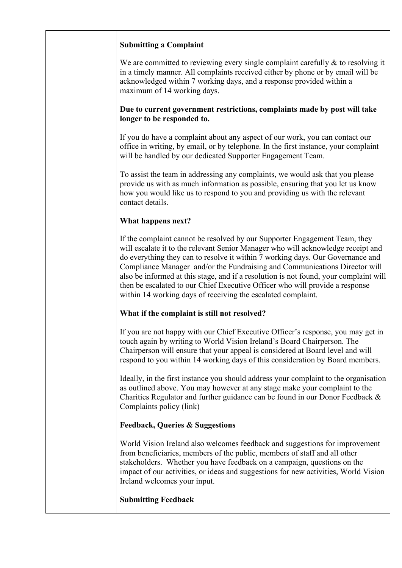# **Submitting a Complaint**

We are committed to reviewing every single complaint carefully & to resolving it in a timely manner. All complaints received either by phone or by email will be acknowledged within 7 working days, and a response provided within a maximum of 14 working days.

### **Due to current government restrictions, complaints made by post will take longer to be responded to.**

If you do have a complaint about any aspect of our work, you can contact our office in writing, by email, or by telephone. In the first instance, your complaint will be handled by our dedicated Supporter Engagement Team.

To assist the team in addressing any complaints, we would ask that you please provide us with as much information as possible, ensuring that you let us know how you would like us to respond to you and providing us with the relevant contact details.

# **What happens next?**

If the complaint cannot be resolved by our Supporter Engagement Team, they will escalate it to the relevant Senior Manager who will acknowledge receipt and do everything they can to resolve it within 7 working days. Our Governance and Compliance Manager and/or the Fundraising and Communications Director will also be informed at this stage, and if a resolution is not found, your complaint will then be escalated to our Chief Executive Officer who will provide a response within 14 working days of receiving the escalated complaint.

# **What if the complaint is still not resolved?**

If you are not happy with our Chief Executive Officer's response, you may get in touch again by writing to World Vision Ireland's Board Chairperson. The Chairperson will ensure that your appeal is considered at Board level and will respond to you within 14 working days of this consideration by Board members.

Ideally, in the first instance you should address your complaint to the organisation as outlined above. You may however at any stage make your complaint to the Charities Regulator and further guidance can be found in our Donor Feedback & Complaints policy (link)

# **Feedback, Queries & Suggestions**

World Vision Ireland also welcomes feedback and suggestions for improvement from beneficiaries, members of the public, members of staff and all other stakeholders. Whether you have feedback on a campaign, questions on the impact of our activities, or ideas and suggestions for new activities, World Vision Ireland welcomes your input.

### **Submitting Feedback**